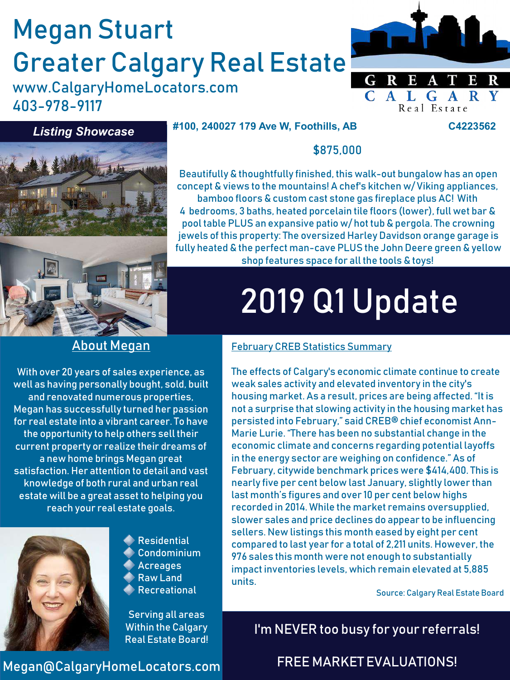# Megan Stuart Greater Calgary Real Estate

www.CalgaryHomeLocators.com 403-978-9117



Real Estate

#### *Listing Showcase*

#### **#100, 240027 179 Ave W, Foothills, AB C4223562**



#### \$875,000

Beautifully & thoughtfully finished, this walk-out bungalow has an open concept & views to the mountains! A chef's kitchen w/ Viking appliances, bamboo floors & custom cast stone gas fireplace plus AC! With 4 bedrooms, 3 baths, heated porcelain tile floors (lower), full wet bar & pool table PLUS an expansive patio w/ hot tub & pergola. The crowning jewels of this property: The oversized Harley Davidson orange garage is fully heated & the perfect man-cave PLUS the John Deere green & yellow shop features space for all the tools & toys!

# 2019 Q1 Update

### About Megan

With over 20 years of sales experience, as well as having personally bought, sold, built and renovated numerous properties, Megan has successfully turned her passion for real estate into a vibrant career. To have the opportunity to help others sell their current property or realize their dreams of a new home brings Megan great satisfaction. Her attention to detail and vast knowledge of both rural and urban real estate will be a great asset to helping you reach your real estate goals.

Megan@CalgaryHomeLocators.com



**Residential** Condominium Acreages Raw Land Recreational

Serving all areas Within the Calgary Real Estate Board!

# February CREB Statistics Summary

The effects of Calgary's economic climate continue to create weak sales activity and elevated inventory in the city's housing market. As a result, prices are being affected. "It is not a surprise that slowing activity in the housing market has persisted into February," said CREB® chief economist Ann-Marie Lurie. "There has been no substantial change in the economic climate and concerns regarding potential layoffs in the energy sector are weighing on confidence." As of February, citywide benchmark prices were \$414,400. This is nearly five per cent below last January, slightly lower than last month's figures and over 10 per cent below highs recorded in 2014. While the market remains oversupplied, slower sales and price declines do appear to be influencing sellers. New listings this month eased by eight per cent compared to last year for a total of 2,211 units. However, the 976 sales this month were not enough to substantially impact inventories levels, which remain elevated at 5,885 units.

Source: Calgary Real Estate Board

I'm NEVER too busy for your referrals!

FREE MARKET EVALUATIONS!